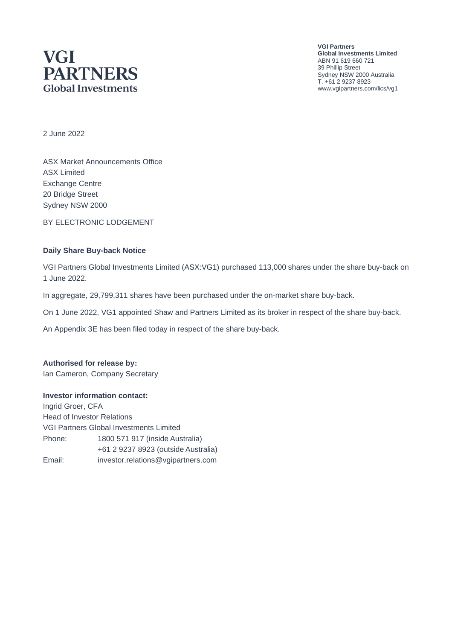# **VGI PARTNERS Global Investments**

**VGI Partners Global Investments Limited** ABN 91 619 660 721 39 Phillip Street Sydney NSW 2000 Australia T. +61 2 9237 8923 www.vgipartners.com/lics/vg1

2 June 2022

ASX Market Announcements Office ASX Limited Exchange Centre 20 Bridge Street Sydney NSW 2000

BY ELECTRONIC LODGEMENT

#### **Daily Share Buy-back Notice**

VGI Partners Global Investments Limited (ASX:VG1) purchased 113,000 shares under the share buy-back on 1 June 2022.

In aggregate, 29,799,311 shares have been purchased under the on-market share buy-back.

On 1 June 2022, VG1 appointed Shaw and Partners Limited as its broker in respect of the share buy-back.

An Appendix 3E has been filed today in respect of the share buy-back.

#### **Authorised for release by:**

Ian Cameron, Company Secretary

#### **Investor information contact:**

Ingrid Groer, CFA Head of Investor Relations VGI Partners Global Investments Limited Phone: 1800 571 917 (inside Australia) +61 2 9237 8923 (outside Australia) Email: investor.relations@vgipartners.com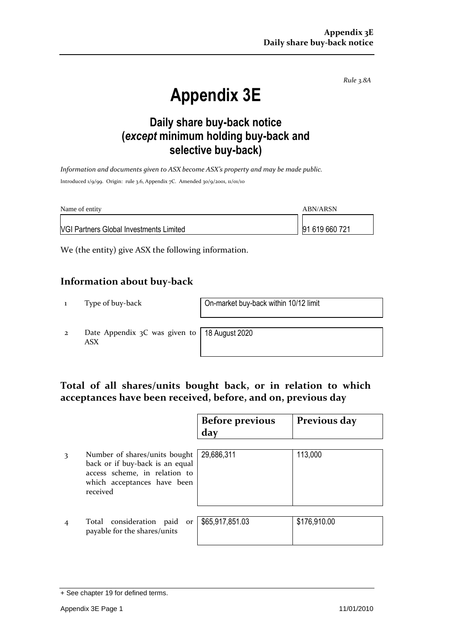*Rule 3.8A*

# **Appendix 3E**

# **Daily share buy-back notice (***except* **minimum holding buy-back and selective buy-back)**

*Information and documents given to ASX become ASX's property and may be made public.* Introduced 1/9/99. Origin: rule 3.6, Appendix 7C. Amended 30/9/2001, 11/01/10

| Name of entity                                 | ABN/ARSN       |
|------------------------------------------------|----------------|
| <b>VGI Partners Global Investments Limited</b> | 91 619 660 721 |

We (the entity) give ASX the following information.

## **Information about buy-back**

1 Type of buy-back On-market buy-back within 10/12 limit

2 Date Appendix 3C was given to ASX

18 August 2020

## **Total of all shares/units bought back, or in relation to which acceptances have been received, before, and on, previous day**

|   |                                                                                                                                              | <b>Before previous</b><br>day | Previous day |
|---|----------------------------------------------------------------------------------------------------------------------------------------------|-------------------------------|--------------|
| 3 | Number of shares/units bought<br>back or if buy-back is an equal<br>access scheme, in relation to<br>which acceptances have been<br>received | 29,686,311                    | 113,000      |
|   | Total consideration paid<br>or<br>payable for the shares/units                                                                               | \$65,917,851.03               | \$176,910.00 |

<sup>+</sup> See chapter 19 for defined terms.